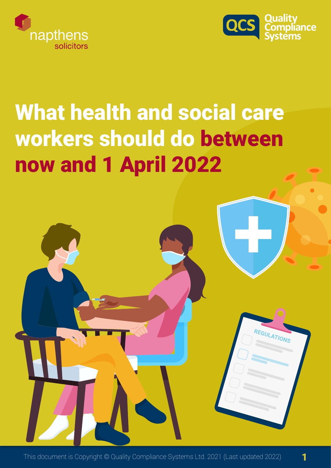



REGULATIONS

# What health and social care workers should do between now and 1 April 2022

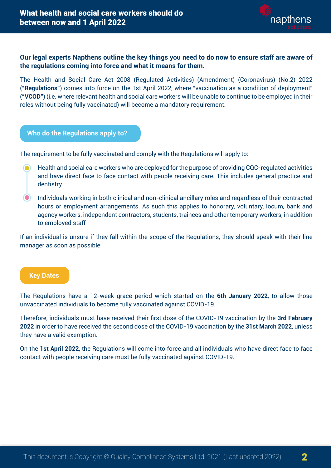

2

# **Our legal experts Napthens outline the key things you need to do now to ensure staff are aware of the regulations coming into force and what it means for them.**

The Health and Social Care Act 2008 (Regulated Activities) (Amendment) (Coronavirus) (No.2) 2022 (**"Regulations"**) comes into force on the 1st April 2022, where "vaccination as a condition of deployment" (**"VCOD"**) (i.e. where relevant health and social care workers will be unable to continue to be employed in their roles without being fully vaccinated) will become a mandatory requirement.

### **Who do the Regulations apply to?**

The requirement to be fully vaccinated and comply with the Regulations will apply to:

- Health and social care workers who are deployed for the purpose of providing CQC-regulated activities  $\odot$ and have direct face to face contact with people receiving care. This includes general practice and dentistry
- $\odot$ Individuals working in both clinical and non-clinical ancillary roles and regardless of their contracted hours or employment arrangements. As such this applies to honorary, voluntary, locum, bank and agency workers, independent contractors, students, trainees and other temporary workers, in addition to employed staff

If an individual is unsure if they fall within the scope of the Regulations, they should speak with their line manager as soon as possible.

#### **Key Dates**

The Regulations have a 12-week grace period which started on the **6th January 2022**, to allow those unvaccinated individuals to become fully vaccinated against COVID-19.

Therefore, individuals must have received their first dose of the COVID-19 vaccination by the **3rd February 2022** in order to have received the second dose of the COVID-19 vaccination by the **31st March 2022**, unless they have a valid exemption.

On the **1st April 2022**, the Regulations will come into force and all individuals who have direct face to face contact with people receiving care must be fully vaccinated against COVID-19.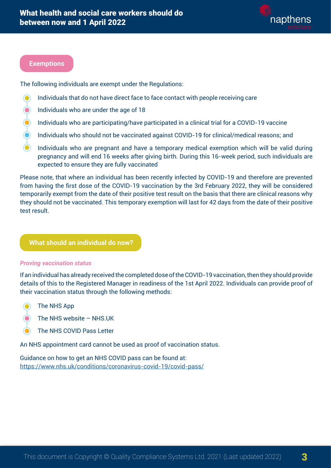

3

#### **Exemptions**

The following individuals are exempt under the Regulations:

- Individuals that do not have direct face to face contact with people receiving care  $\bullet$
- $\odot$ Individuals who are under the age of 18
- $\odot$ Individuals who are participating/have participated in a clinical trial for a COVID-19 vaccine
- $\bigcirc$ Individuals who should not be vaccinated against COVID-19 for clinical/medical reasons; and
- Individuals who are pregnant and have a temporary medical exemption which will be valid during pregnancy and will end 16 weeks after giving birth. During this 16-week period, such individuals are expected to ensure they are fully vaccinated

Please note, that where an individual has been recently infected by COVID-19 and therefore are prevented from having the first dose of the COVID-19 vaccination by the 3rd February 2022, they will be considered temporarily exempt from the date of their positive test result on the basis that there are clinical reasons why they should not be vaccinated. This temporary exemption will last for 42 days from the date of their positive test result.

## **What should an individual do now?**

#### *Proving vaccination status*

If an individual has already received the completed dose of the COVID-19 vaccination, then they should provide details of this to the Registered Manager in readiness of the 1st April 2022. Individuals can provide proof of their vaccination status through the following methods:

- $\odot$ The NHS App
- The NHS website NHS.UK
- The NHS COVID Pass Letter

An NHS appointment card cannot be used as proof of vaccination status.

Guidance on how to get an NHS COVID pass can be found at: <https://www.nhs.uk/conditions/coronavirus-covid-19/covid-pass/>